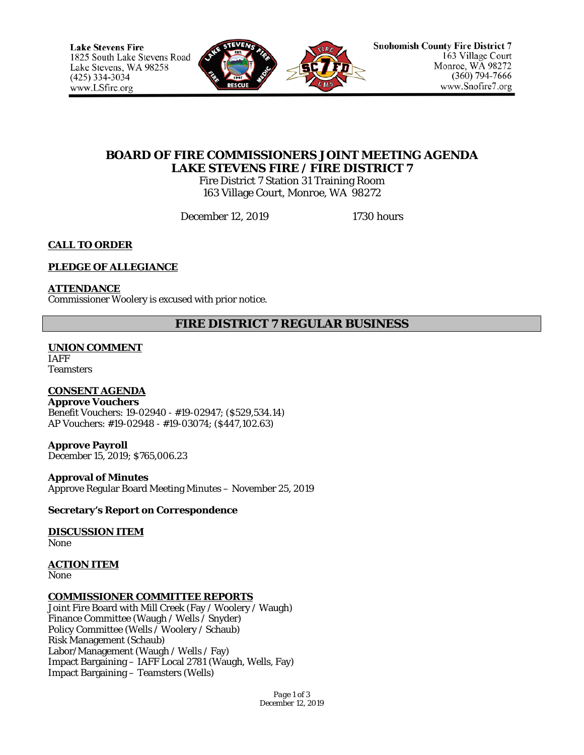

# **BOARD OF FIRE COMMISSIONERS JOINT MEETING AGENDA LAKE STEVENS FIRE / FIRE DISTRICT 7**

Fire District 7 Station 31 Training Room 163 Village Court, Monroe, WA 98272

December 12, 2019 1730 hours

## **CALL TO ORDER**

## **PLEDGE OF ALLEGIANCE**

**ATTENDANCE**

Commissioner Woolery is excused with prior notice.

## **FIRE DISTRICT 7 REGULAR BUSINESS**

## **UNION COMMENT**

IAFF **Teamsters** 

## **CONSENT AGENDA**

**Approve Vouchers** Benefit Vouchers: 19-02940 - #19-02947; (\$529,534.14) AP Vouchers: #19-02948 - #19-03074; (\$447,102.63)

**Approve Payroll** December 15, 2019; \$765,006.23

### **Approval of Minutes**

Approve Regular Board Meeting Minutes – November 25, 2019

### **Secretary's Report on Correspondence**

# **DISCUSSION ITEM**

None

## **ACTION ITEM**

None

### **COMMISSIONER COMMITTEE REPORTS**

Joint Fire Board with Mill Creek (Fay / Woolery / Waugh) Finance Committee (Waugh / Wells / Snyder) Policy Committee (Wells / Woolery / Schaub) Risk Management (Schaub) Labor/Management (Waugh / Wells / Fay) Impact Bargaining – IAFF Local 2781 (Waugh, Wells, Fay) Impact Bargaining – Teamsters (Wells)

> *Page 1 of 3 December 12, 2019*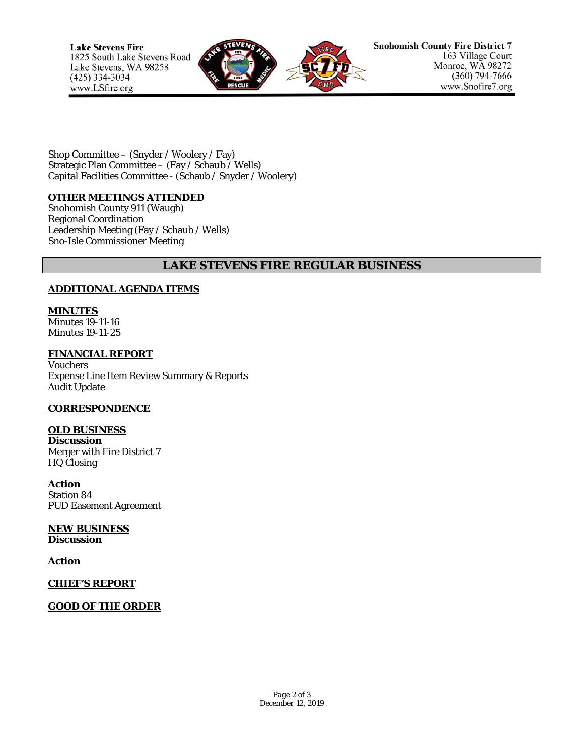

Shop Committee – (Snyder / Woolery / Fay) Strategic Plan Committee – (Fay / Schaub / Wells) Capital Facilities Committee - (Schaub / Snyder / Woolery)

#### **OTHER MEETINGS ATTENDED**

Snohomish County 911 (Waugh) Regional Coordination Leadership Meeting (Fay / Schaub / Wells) Sno-Isle Commissioner Meeting

## **LAKE STEVENS FIRE REGULAR BUSINESS**

### **ADDITIONAL AGENDA ITEMS**

**MINUTES** Minutes 19-11-16 Minutes 19-11-25

**FINANCIAL REPORT** Vouchers Expense Line Item Review Summary & Reports Audit Update

### **CORRESPONDENCE**

**OLD BUSINESS**

**Discussion** Merger with Fire District 7 HQ Closing

**Action** Station 84 PUD Easement Agreement

**NEW BUSINESS Discussion**

**Action**

**CHIEF'S REPORT**

**GOOD OF THE ORDER**